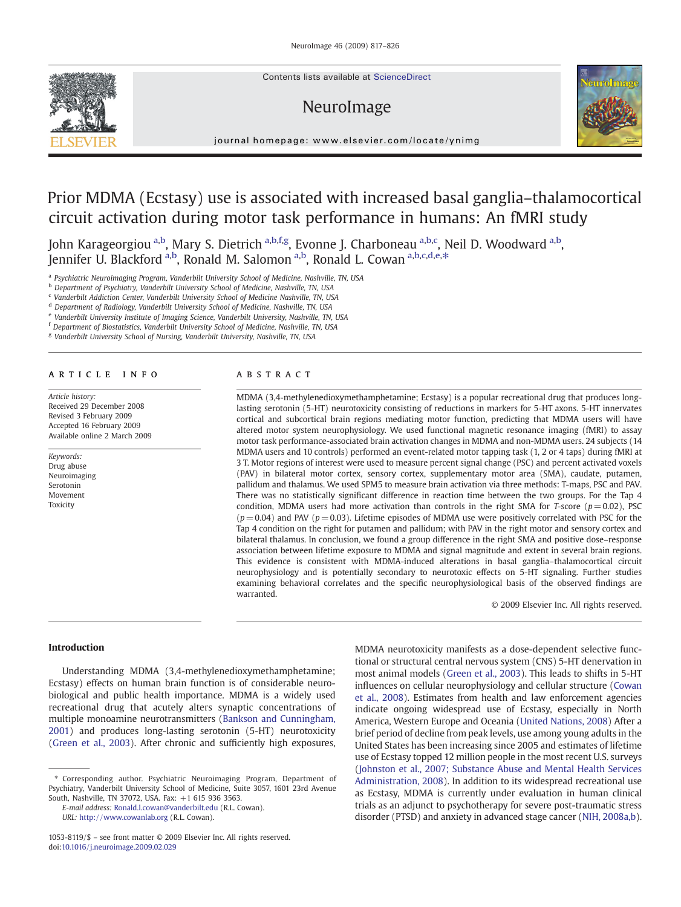Contents lists available at ScienceDirect

# NeuroImage



journal homepage: www.elsevier.com/locate/ynimg

# Prior MDMA (Ecstasy) use is associated with increased basal ganglia–thalamocortical circuit activation during motor task performance in humans: An fMRI study

John Karageorgiou <sup>a,b</sup>, Mary S. Dietrich <sup>a,b,f,g</sup>, Evonne J. Charboneau <sup>a,b,c</sup>, Neil D. Woodward <sup>a,b</sup>, Jennifer U. Blackford <sup>a,b</sup>, Ronald M. Salomon <sup>a,b</sup>, Ronald L. Cowan <sup>a,b,c,d,e,\*</sup>

a Psychiatric Neuroimaging Program, Vanderbilt University School of Medicine, Nashville, TN, USA

b Department of Psychiatry, Vanderbilt University School of Medicine, Nashville, TN, USA

<sup>c</sup> Vanderbilt Addiction Center, Vanderbilt University School of Medicine Nashville, TN, USA

<sup>d</sup> Department of Radiology, Vanderbilt University School of Medicine, Nashville, TN, USA

<sup>e</sup> Vanderbilt University Institute of Imaging Science, Vanderbilt University, Nashville, TN, USA

<sup>f</sup> Department of Biostatistics, Vanderbilt University School of Medicine, Nashville, TN, USA

<sup>g</sup> Vanderbilt University School of Nursing, Vanderbilt University, Nashville, TN, USA

# article info abstract

Article history: Received 29 December 2008 Revised 3 February 2009 Accepted 16 February 2009 Available online 2 March 2009

Keywords: Drug abuse Neuroimaging Serotonin Movement Toxicity

MDMA (3,4-methylenedioxymethamphetamine; Ecstasy) is a popular recreational drug that produces longlasting serotonin (5-HT) neurotoxicity consisting of reductions in markers for 5-HT axons. 5-HT innervates cortical and subcortical brain regions mediating motor function, predicting that MDMA users will have altered motor system neurophysiology. We used functional magnetic resonance imaging (fMRI) to assay motor task performance-associated brain activation changes in MDMA and non-MDMA users. 24 subjects (14 MDMA users and 10 controls) performed an event-related motor tapping task (1, 2 or 4 taps) during fMRI at 3 T. Motor regions of interest were used to measure percent signal change (PSC) and percent activated voxels (PAV) in bilateral motor cortex, sensory cortex, supplementary motor area (SMA), caudate, putamen, pallidum and thalamus. We used SPM5 to measure brain activation via three methods: T-maps, PSC and PAV. There was no statistically significant difference in reaction time between the two groups. For the Tap 4 condition, MDMA users had more activation than controls in the right SMA for T-score ( $p= 0.02$ ), PSC  $(p= 0.04)$  and PAV ( $p= 0.03$ ). Lifetime episodes of MDMA use were positively correlated with PSC for the Tap 4 condition on the right for putamen and pallidum; with PAV in the right motor and sensory cortex and bilateral thalamus. In conclusion, we found a group difference in the right SMA and positive dose–response association between lifetime exposure to MDMA and signal magnitude and extent in several brain regions. This evidence is consistent with MDMA-induced alterations in basal ganglia–thalamocortical circuit neurophysiology and is potentially secondary to neurotoxic effects on 5-HT signaling. Further studies examining behavioral correlates and the specific neurophysiological basis of the observed findings are warranted.

© 2009 Elsevier Inc. All rights reserved.

# Introduction

Understanding MDMA (3,4-methylenedioxymethamphetamine; Ecstasy) effects on human brain function is of considerable neurobiological and public health importance. MDMA is a widely used recreational drug that acutely alters synaptic concentrations of multiple monoamine neurotransmitters ([Bankson and Cunningham,](#page-8-0) [2001\)](#page-8-0) and produces long-lasting serotonin (5-HT) neurotoxicity [\(Green et al., 2003\)](#page-8-0). After chronic and sufficiently high exposures,

⁎ Corresponding author. Psychiatric Neuroimaging Program, Department of Psychiatry, Vanderbilt University School of Medicine, Suite 3057, 1601 23rd Avenue South, Nashville, TN 37072, USA. Fax: +1 615 936 3563.

MDMA neurotoxicity manifests as a dose-dependent selective functional or structural central nervous system (CNS) 5-HT denervation in most animal models ([Green et al., 2003\)](#page-8-0). This leads to shifts in 5-HT influences on cellular neurophysiology and cellular structure ([Cowan](#page-8-0) [et al., 2008\)](#page-8-0). Estimates from health and law enforcement agencies indicate ongoing widespread use of Ecstasy, especially in North America, Western Europe and Oceania [\(United Nations, 2008\)](#page-9-0) After a brief period of decline from peak levels, use among young adults in the United States has been increasing since 2005 and estimates of lifetime use of Ecstasy topped 12 million people in the most recent U.S. surveys [\(Johnston et al., 2007; Substance Abuse and Mental Health Services](#page-9-0) [Administration, 2008\)](#page-9-0). In addition to its widespread recreational use as Ecstasy, MDMA is currently under evaluation in human clinical trials as an adjunct to psychotherapy for severe post-traumatic stress disorder (PTSD) and anxiety in advanced stage cancer ([NIH, 2008a,b](#page-9-0)).



E-mail address: [Ronald.l.cowan@vanderbilt.edu](mailto:Ronald.l.cowan@vanderbilt.edu) (R.L. Cowan). URL: <http://www.cowanlab.org> (R.L. Cowan).

<sup>1053-8119/\$</sup> – see front matter © 2009 Elsevier Inc. All rights reserved. doi:[10.1016/j.neuroimage.2009.02.029](http://dx.doi.org/10.1016/j.neuroimage.2009.02.029)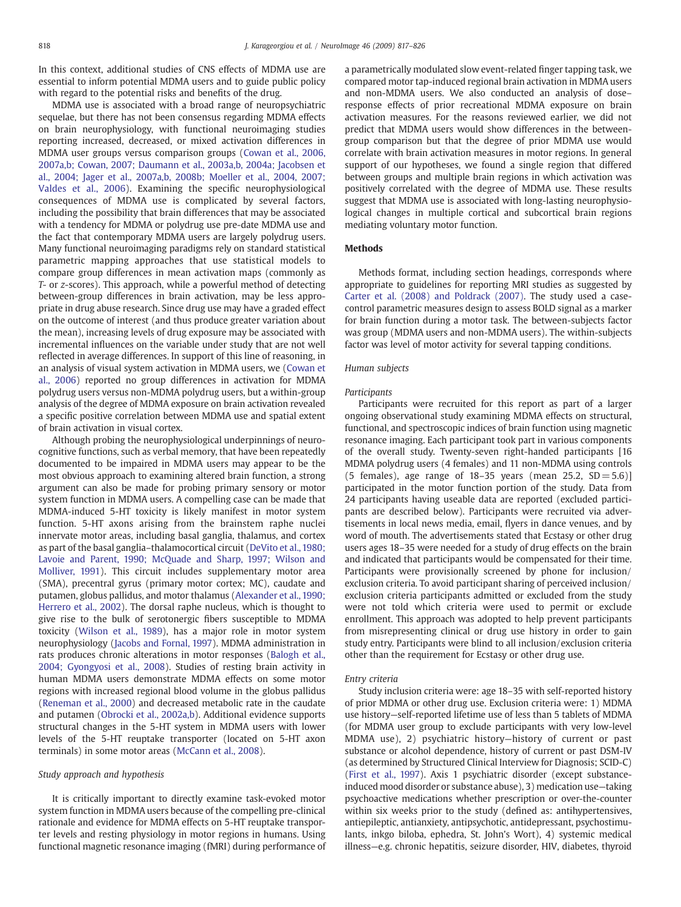In this context, additional studies of CNS effects of MDMA use are essential to inform potential MDMA users and to guide public policy with regard to the potential risks and benefits of the drug.

MDMA use is associated with a broad range of neuropsychiatric sequelae, but there has not been consensus regarding MDMA effects on brain neurophysiology, with functional neuroimaging studies reporting increased, decreased, or mixed activation differences in MDMA user groups versus comparison groups [\(Cowan et al., 2006,](#page-8-0) [2007a,b; Cowan, 2007; Daumann et al., 2003a,b, 2004a; Jacobsen et](#page-8-0) [al., 2004; Jager et al., 2007a,b, 2008b; Moeller et al., 2004, 2007;](#page-8-0) [Valdes et al., 2006\)](#page-8-0). Examining the specific neurophysiological consequences of MDMA use is complicated by several factors, including the possibility that brain differences that may be associated with a tendency for MDMA or polydrug use pre-date MDMA use and the fact that contemporary MDMA users are largely polydrug users. Many functional neuroimaging paradigms rely on standard statistical parametric mapping approaches that use statistical models to compare group differences in mean activation maps (commonly as T- or z-scores). This approach, while a powerful method of detecting between-group differences in brain activation, may be less appropriate in drug abuse research. Since drug use may have a graded effect on the outcome of interest (and thus produce greater variation about the mean), increasing levels of drug exposure may be associated with incremental influences on the variable under study that are not well reflected in average differences. In support of this line of reasoning, in an analysis of visual system activation in MDMA users, we ([Cowan et](#page-8-0) [al., 2006\)](#page-8-0) reported no group differences in activation for MDMA polydrug users versus non-MDMA polydrug users, but a within-group analysis of the degree of MDMA exposure on brain activation revealed a specific positive correlation between MDMA use and spatial extent of brain activation in visual cortex.

Although probing the neurophysiological underpinnings of neurocognitive functions, such as verbal memory, that have been repeatedly documented to be impaired in MDMA users may appear to be the most obvious approach to examining altered brain function, a strong argument can also be made for probing primary sensory or motor system function in MDMA users. A compelling case can be made that MDMA-induced 5-HT toxicity is likely manifest in motor system function. 5-HT axons arising from the brainstem raphe nuclei innervate motor areas, including basal ganglia, thalamus, and cortex as part of the basal ganglia–thalamocortical circuit [\(DeVito et al., 1980;](#page-8-0) [Lavoie and Parent, 1990; McQuade and Sharp, 1997; Wilson and](#page-8-0) [Molliver, 1991\)](#page-8-0). This circuit includes supplementary motor area (SMA), precentral gyrus (primary motor cortex; MC), caudate and putamen, globus pallidus, and motor thalamus ([Alexander et al., 1990;](#page-8-0) [Herrero et al., 2002\)](#page-8-0). The dorsal raphe nucleus, which is thought to give rise to the bulk of serotonergic fibers susceptible to MDMA toxicity ([Wilson et al., 1989](#page-9-0)), has a major role in motor system neurophysiology [\(Jacobs and Fornal, 1997\)](#page-8-0). MDMA administration in rats produces chronic alterations in motor responses ([Balogh et al.,](#page-8-0) [2004; Gyongyosi et al., 2008](#page-8-0)). Studies of resting brain activity in human MDMA users demonstrate MDMA effects on some motor regions with increased regional blood volume in the globus pallidus [\(Reneman et al., 2000](#page-9-0)) and decreased metabolic rate in the caudate and putamen [\(Obrocki et al., 2002a,b](#page-9-0)). Additional evidence supports structural changes in the 5-HT system in MDMA users with lower levels of the 5-HT reuptake transporter (located on 5-HT axon terminals) in some motor areas ([McCann et al., 2008\)](#page-9-0).

# Study approach and hypothesis

It is critically important to directly examine task-evoked motor system function in MDMA users because of the compelling pre-clinical rationale and evidence for MDMA effects on 5-HT reuptake transporter levels and resting physiology in motor regions in humans. Using functional magnetic resonance imaging (fMRI) during performance of a parametrically modulated slow event-related finger tapping task, we compared motor tap-induced regional brain activation in MDMA users and non-MDMA users. We also conducted an analysis of dose– response effects of prior recreational MDMA exposure on brain activation measures. For the reasons reviewed earlier, we did not predict that MDMA users would show differences in the betweengroup comparison but that the degree of prior MDMA use would correlate with brain activation measures in motor regions. In general support of our hypotheses, we found a single region that differed between groups and multiple brain regions in which activation was positively correlated with the degree of MDMA use. These results suggest that MDMA use is associated with long-lasting neurophysiological changes in multiple cortical and subcortical brain regions mediating voluntary motor function.

# Methods

Methods format, including section headings, corresponds where appropriate to guidelines for reporting MRI studies as suggested by [Carter et al. \(2008\) and Poldrack \(2007\)](#page-8-0). The study used a casecontrol parametric measures design to assess BOLD signal as a marker for brain function during a motor task. The between-subjects factor was group (MDMA users and non-MDMA users). The within-subjects factor was level of motor activity for several tapping conditions.

# Human subjects

# Participants

Participants were recruited for this report as part of a larger ongoing observational study examining MDMA effects on structural, functional, and spectroscopic indices of brain function using magnetic resonance imaging. Each participant took part in various components of the overall study. Twenty-seven right-handed participants [16 MDMA polydrug users (4 females) and 11 non-MDMA using controls (5 females), age range of  $18-35$  years (mean  $25.2$ ,  $SD = 5.6$ )] participated in the motor function portion of the study. Data from 24 participants having useable data are reported (excluded participants are described below). Participants were recruited via advertisements in local news media, email, flyers in dance venues, and by word of mouth. The advertisements stated that Ecstasy or other drug users ages 18–35 were needed for a study of drug effects on the brain and indicated that participants would be compensated for their time. Participants were provisionally screened by phone for inclusion/ exclusion criteria. To avoid participant sharing of perceived inclusion/ exclusion criteria participants admitted or excluded from the study were not told which criteria were used to permit or exclude enrollment. This approach was adopted to help prevent participants from misrepresenting clinical or drug use history in order to gain study entry. Participants were blind to all inclusion/exclusion criteria other than the requirement for Ecstasy or other drug use.

# Entry criteria

Study inclusion criteria were: age 18–35 with self-reported history of prior MDMA or other drug use. Exclusion criteria were: 1) MDMA use history—self-reported lifetime use of less than 5 tablets of MDMA (for MDMA user group to exclude participants with very low-level MDMA use), 2) psychiatric history—history of current or past substance or alcohol dependence, history of current or past DSM-IV (as determined by Structured Clinical Interview for Diagnosis; SCID-C) [\(First et al., 1997](#page-8-0)). Axis 1 psychiatric disorder (except substanceinduced mood disorder or substance abuse), 3) medication use—taking psychoactive medications whether prescription or over-the-counter within six weeks prior to the study (defined as: antihypertensives, antiepileptic, antianxiety, antipsychotic, antidepressant, psychostimulants, inkgo biloba, ephedra, St. John's Wort), 4) systemic medical illness—e.g. chronic hepatitis, seizure disorder, HIV, diabetes, thyroid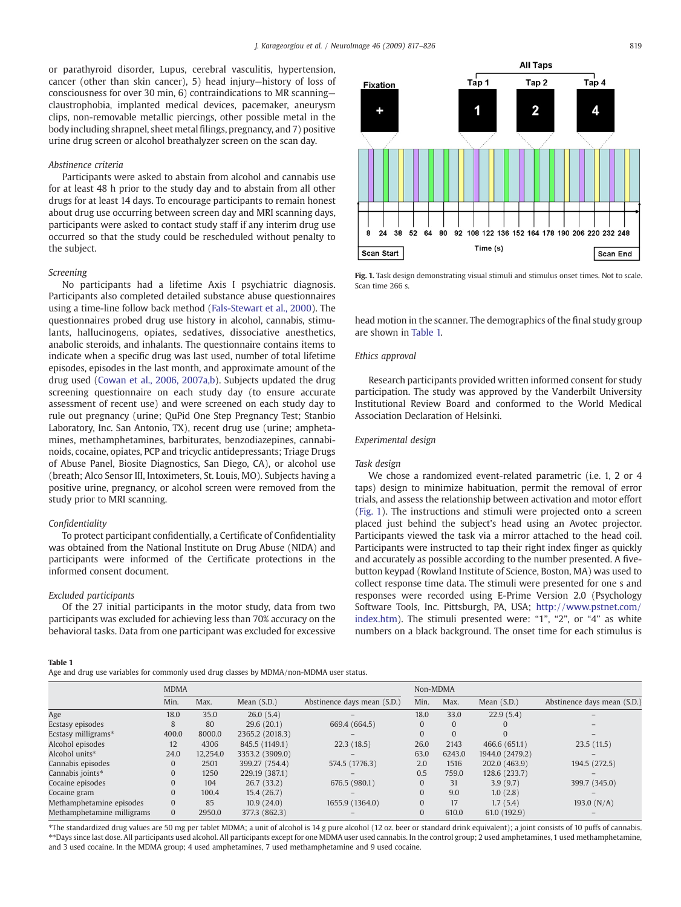<span id="page-2-0"></span>or parathyroid disorder, Lupus, cerebral vasculitis, hypertension, cancer (other than skin cancer), 5) head injury—history of loss of consciousness for over 30 min, 6) contraindications to MR scanning claustrophobia, implanted medical devices, pacemaker, aneurysm clips, non-removable metallic piercings, other possible metal in the body including shrapnel, sheet metal filings, pregnancy, and 7) positive urine drug screen or alcohol breathalyzer screen on the scan day.

# Abstinence criteria

Participants were asked to abstain from alcohol and cannabis use for at least 48 h prior to the study day and to abstain from all other drugs for at least 14 days. To encourage participants to remain honest about drug use occurring between screen day and MRI scanning days, participants were asked to contact study staff if any interim drug use occurred so that the study could be rescheduled without penalty to the subject.

#### Screening

No participants had a lifetime Axis I psychiatric diagnosis. Participants also completed detailed substance abuse questionnaires using a time-line follow back method [\(Fals-Stewart et al., 2000\)](#page-8-0). The questionnaires probed drug use history in alcohol, cannabis, stimulants, hallucinogens, opiates, sedatives, dissociative anesthetics, anabolic steroids, and inhalants. The questionnaire contains items to indicate when a specific drug was last used, number of total lifetime episodes, episodes in the last month, and approximate amount of the drug used ([Cowan et al., 2006, 2007a,b](#page-8-0)). Subjects updated the drug screening questionnaire on each study day (to ensure accurate assessment of recent use) and were screened on each study day to rule out pregnancy (urine; QuPid One Step Pregnancy Test; Stanbio Laboratory, Inc. San Antonio, TX), recent drug use (urine; amphetamines, methamphetamines, barbiturates, benzodiazepines, cannabinoids, cocaine, opiates, PCP and tricyclic antidepressants; Triage Drugs of Abuse Panel, Biosite Diagnostics, San Diego, CA), or alcohol use (breath; Alco Sensor III, Intoximeters, St. Louis, MO). Subjects having a positive urine, pregnancy, or alcohol screen were removed from the study prior to MRI scanning.

# Confidentiality

To protect participant confidentially, a Certificate of Confidentiality was obtained from the National Institute on Drug Abuse (NIDA) and participants were informed of the Certificate protections in the informed consent document.

#### Excluded participants

Of the 27 initial participants in the motor study, data from two participants was excluded for achieving less than 70% accuracy on the behavioral tasks. Data from one participant was excluded for excessive

# Table 1

Age and drug use variables for commonly used drug classes by MDMA/non-MDMA user status.



Fig. 1. Task design demonstrating visual stimuli and stimulus onset times. Not to scale. Scan time 266 s.

head motion in the scanner. The demographics of the final study group are shown in Table 1.

# Ethics approval

Research participants provided written informed consent for study participation. The study was approved by the Vanderbilt University Institutional Review Board and conformed to the World Medical Association Declaration of Helsinki.

#### Experimental design

# Task design

We chose a randomized event-related parametric (i.e. 1, 2 or 4 taps) design to minimize habituation, permit the removal of error trials, and assess the relationship between activation and motor effort (Fig. 1). The instructions and stimuli were projected onto a screen placed just behind the subject's head using an Avotec projector. Participants viewed the task via a mirror attached to the head coil. Participants were instructed to tap their right index finger as quickly and accurately as possible according to the number presented. A fivebutton keypad (Rowland Institute of Science, Boston, MA) was used to collect response time data. The stimuli were presented for one s and responses were recorded using E-Prime Version 2.0 (Psychology Software Tools, Inc. Pittsburgh, PA, USA; [http://www.pstnet.com/](http://www.pstnet.com/index.htm) [index.htm\)](http://www.pstnet.com/index.htm). The stimuli presented were: "1", "2", or "4" as white numbers on a black background. The onset time for each stimulus is

|                            | <b>MDMA</b>  |          |                 |                             | Non-MDMA |        |                 |                             |
|----------------------------|--------------|----------|-----------------|-----------------------------|----------|--------|-----------------|-----------------------------|
|                            | Min.         | Max.     | Mean $(S.D.)$   | Abstinence days mean (S.D.) | Min.     | Max.   | Mean $(S.D.)$   | Abstinence days mean (S.D.) |
| Age                        | 18.0         | 35.0     | 26.0(5.4)       |                             | 18.0     | 33.0   | 22.9(5.4)       |                             |
| Ecstasy episodes           | 8            | 80       | 29.6(20.1)      | 669.4 (664.5)               | 0        | 0      |                 |                             |
| Ecstasy milligrams*        | 400.0        | 8000.0   | 2365.2 (2018.3) |                             |          | 0      |                 |                             |
| Alcohol episodes           | 12           | 4306     | 845.5 (1149.1)  | 22.3(18.5)                  | 26.0     | 2143   | 466.6 (651.1)   | 23.5(11.5)                  |
| Alcohol units*             | 24.0         | 12,254.0 | 3353.2 (3909.0) |                             | 63.0     | 6243.0 | 1944.0 (2479.2) |                             |
| Cannabis episodes          | $\Omega$     | 2501     | 399.27 (754.4)  | 574.5 (1776.3)              | 2.0      | 1516   | 202.0 (463.9)   | 194.5 (272.5)               |
| Cannabis joints*           |              | 1250     | 229.19 (387.1)  |                             | 0.5      | 759.0  | 128.6 (233.7)   |                             |
| Cocaine episodes           |              | 104      | 26.7(33.2)      | 676.5 (980.1)               | 0        | 31     | 3.9(9.7)        | 399.7 (345.0)               |
| Cocaine gram               | 0            | 100.4    | 15.4 (26.7)     |                             | 0        | 9.0    | 1.0(2.8)        |                             |
| Methamphetamine episodes   |              | 85       | 10.9(24.0)      | 1655.9 (1364.0)             | $\Omega$ | 17     | 1.7(5.4)        | 193.0 $(N/A)$               |
| Methamphetamine milligrams | $\mathbf{0}$ | 2950.0   | 377.3 (862.3)   |                             |          | 610.0  | 61.0 (192.9)    |                             |

⁎The standardized drug values are 50 mg per tablet MDMA; a unit of alcohol is 14 g pure alcohol (12 oz. beer or standard drink equivalent); a joint consists of 10 puffs of cannabis. ⁎⁎Days since last dose. All participants used alcohol. All participants except for one MDMA user used cannabis. In the control group; 2 used amphetamines, 1 used methamphetamine, and 3 used cocaine. In the MDMA group; 4 used amphetamines, 7 used methamphetamine and 9 used cocaine.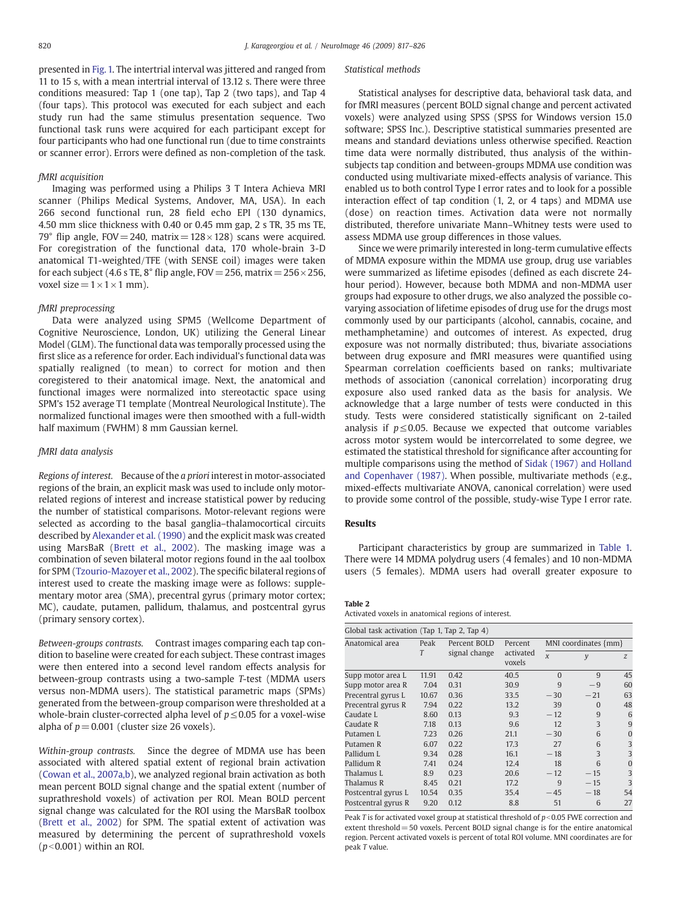<span id="page-3-0"></span>presented in [Fig. 1.](#page-2-0) The intertrial interval was jittered and ranged from 11 to 15 s, with a mean intertrial interval of 13.12 s. There were three conditions measured: Tap 1 (one tap), Tap 2 (two taps), and Tap 4 (four taps). This protocol was executed for each subject and each study run had the same stimulus presentation sequence. Two functional task runs were acquired for each participant except for four participants who had one functional run (due to time constraints or scanner error). Errors were defined as non-completion of the task.

# fMRI acquisition

Imaging was performed using a Philips 3 T Intera Achieva MRI scanner (Philips Medical Systems, Andover, MA, USA). In each 266 second functional run, 28 field echo EPI (130 dynamics, 4.50 mm slice thickness with 0.40 or 0.45 mm gap, 2 s TR, 35 ms TE, 79° flip angle, FOV = 240, matrix =  $128 \times 128$ ) scans were acquired. For coregistration of the functional data, 170 whole-brain 3-D anatomical T1-weighted/TFE (with SENSE coil) images were taken for each subject (4.6 s TE, 8° flip angle, FOV = 256, matrix =  $256 \times 256$ , voxel size =  $1 \times 1 \times 1$  mm).

# fMRI preprocessing

Data were analyzed using SPM5 (Wellcome Department of Cognitive Neuroscience, London, UK) utilizing the General Linear Model (GLM). The functional data was temporally processed using the first slice as a reference for order. Each individual's functional data was spatially realigned (to mean) to correct for motion and then coregistered to their anatomical image. Next, the anatomical and functional images were normalized into stereotactic space using SPM's 152 average T1 template (Montreal Neurological Institute). The normalized functional images were then smoothed with a full-width half maximum (FWHM) 8 mm Gaussian kernel.

#### fMRI data analysis

Regions of interest. Because of the a priori interest in motor-associated regions of the brain, an explicit mask was used to include only motorrelated regions of interest and increase statistical power by reducing the number of statistical comparisons. Motor-relevant regions were selected as according to the basal ganglia–thalamocortical circuits described by [Alexander et al. \(1990\)](#page-8-0) and the explicit mask was created using MarsBaR ([Brett et al., 2002](#page-8-0)). The masking image was a combination of seven bilateral motor regions found in the aal toolbox for SPM ([Tzourio-Mazoyer et al., 2002](#page-9-0)). The specific bilateral regions of interest used to create the masking image were as follows: supplementary motor area (SMA), precentral gyrus (primary motor cortex; MC), caudate, putamen, pallidum, thalamus, and postcentral gyrus (primary sensory cortex).

Between-groups contrasts. Contrast images comparing each tap condition to baseline were created for each subject. These contrast images were then entered into a second level random effects analysis for between-group contrasts using a two-sample T-test (MDMA users versus non-MDMA users). The statistical parametric maps (SPMs) generated from the between-group comparison were thresholded at a whole-brain cluster-corrected alpha level of  $p \leq 0.05$  for a voxel-wise alpha of  $p = 0.001$  (cluster size 26 voxels).

Within-group contrasts. Since the degree of MDMA use has been associated with altered spatial extent of regional brain activation [\(Cowan et al., 2007a,b\)](#page-8-0), we analyzed regional brain activation as both mean percent BOLD signal change and the spatial extent (number of suprathreshold voxels) of activation per ROI. Mean BOLD percent signal change was calculated for the ROI using the MarsBaR toolbox [\(Brett et al., 2002](#page-8-0)) for SPM. The spatial extent of activation was measured by determining the percent of suprathreshold voxels  $(p<0.001)$  within an ROI.

# Statistical methods

Statistical analyses for descriptive data, behavioral task data, and for fMRI measures (percent BOLD signal change and percent activated voxels) were analyzed using SPSS (SPSS for Windows version 15.0 software; SPSS Inc.). Descriptive statistical summaries presented are means and standard deviations unless otherwise specified. Reaction time data were normally distributed, thus analysis of the withinsubjects tap condition and between-groups MDMA use condition was conducted using multivariate mixed-effects analysis of variance. This enabled us to both control Type I error rates and to look for a possible interaction effect of tap condition (1, 2, or 4 taps) and MDMA use (dose) on reaction times. Activation data were not normally distributed, therefore univariate Mann–Whitney tests were used to assess MDMA use group differences in those values.

Since we were primarily interested in long-term cumulative effects of MDMA exposure within the MDMA use group, drug use variables were summarized as lifetime episodes (defined as each discrete 24 hour period). However, because both MDMA and non-MDMA user groups had exposure to other drugs, we also analyzed the possible covarying association of lifetime episodes of drug use for the drugs most commonly used by our participants (alcohol, cannabis, cocaine, and methamphetamine) and outcomes of interest. As expected, drug exposure was not normally distributed; thus, bivariate associations between drug exposure and fMRI measures were quantified using Spearman correlation coefficients based on ranks; multivariate methods of association (canonical correlation) incorporating drug exposure also used ranked data as the basis for analysis. We acknowledge that a large number of tests were conducted in this study. Tests were considered statistically significant on 2-tailed analysis if  $p \leq 0.05$ . Because we expected that outcome variables across motor system would be intercorrelated to some degree, we estimated the statistical threshold for significance after accounting for multiple comparisons using the method of [Sidak \(1967\) and Holland](#page-9-0) [and Copenhaver \(1987\)](#page-9-0). When possible, multivariate methods (e.g., mixed-effects multivariate ANOVA, canonical correlation) were used to provide some control of the possible, study-wise Type I error rate.

#### Results

Participant characteristics by group are summarized in [Table 1.](#page-2-0) There were 14 MDMA polydrug users (4 females) and 10 non-MDMA users (5 females). MDMA users had overall greater exposure to

Table 2 Activated voxels in anatomical regions of interest.

| Global task activation (Tap 1, Tap 2, Tap 4) |       |               |                     |                      |              |              |  |
|----------------------------------------------|-------|---------------|---------------------|----------------------|--------------|--------------|--|
| Anatomical area                              | Peak  | Percent BOLD  | Percent             | MNI coordinates {mm} |              |              |  |
|                                              | T     | signal change | activated<br>voxels | $\chi$               | $\mathcal V$ | Z            |  |
| Supp motor area L                            | 11.91 | 0.42          | 40.5                | $\Omega$             | 9            | 45           |  |
| Supp motor area R                            | 7.04  | 0.31          | 30.9                | 9                    | $-9$         | 60           |  |
| Precentral gyrus L                           | 10.67 | 0.36          | 33.5                | $-30$                | $-21$        | 63           |  |
| Precentral gyrus R                           | 7.94  | 0.22          | 13.2                | 39                   | $\Omega$     | 48           |  |
| Caudate L                                    | 8.60  | 0.13          | 9.3                 | $-12$                | 9            | 6            |  |
| Caudate R                                    | 7.18  | 0.13          | 9.6                 | 12                   | 3            | 9            |  |
| Putamen L                                    | 7.23  | 0.26          | 21.1                | $-30$                | 6            | $\mathbf{0}$ |  |
| Putamen R                                    | 6.07  | 0.22          | 17.3                | 27                   | 6            | 3            |  |
| Pallidum L                                   | 9.34  | 0.28          | 16.1                | $-18$                | 3            | 3            |  |
| Pallidum R                                   | 7.41  | 0.24          | 12.4                | 18                   | 6            | $\mathbf{0}$ |  |
| Thalamus L                                   | 8.9   | 0.23          | 20.6                | $-12$                | $-15$        | 3            |  |
| Thalamus R                                   | 8.45  | 0.21          | 17.2                | 9                    | $-15$        | 3            |  |
| Postcentral gyrus L                          | 10.54 | 0.35          | 35.4                | $-45$                | $-18$        | 54           |  |
| Postcentral gyrus R                          | 9.20  | 0.12          | 8.8                 | 51                   | 6            | 27           |  |

Peak T is for activated voxel group at statistical threshold of  $p<0.05$  FWE correction and extent threshold= 50 voxels. Percent BOLD signal change is for the entire anatomical region. Percent activated voxels is percent of total ROI volume. MNI coordinates are for peak T value.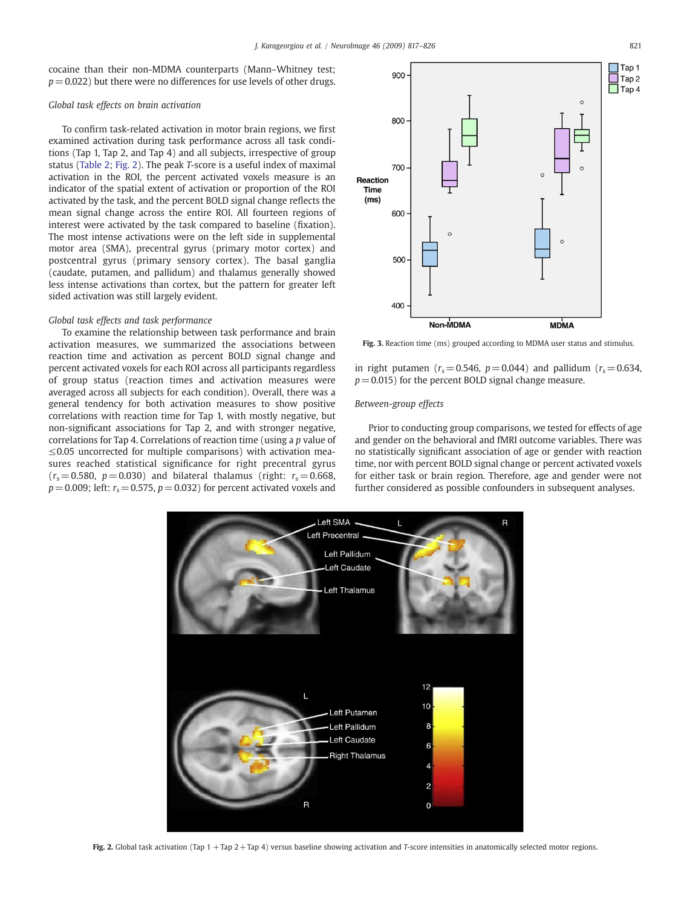<span id="page-4-0"></span>cocaine than their non-MDMA counterparts (Mann–Whitney test;  $p = 0.022$ ) but there were no differences for use levels of other drugs.

# Global task effects on brain activation

To confirm task-related activation in motor brain regions, we first examined activation during task performance across all task conditions (Tap 1, Tap 2, and Tap 4) and all subjects, irrespective of group status ([Table 2;](#page-3-0) Fig. 2). The peak T-score is a useful index of maximal activation in the ROI, the percent activated voxels measure is an indicator of the spatial extent of activation or proportion of the ROI activated by the task, and the percent BOLD signal change reflects the mean signal change across the entire ROI. All fourteen regions of interest were activated by the task compared to baseline (fixation). The most intense activations were on the left side in supplemental motor area (SMA), precentral gyrus (primary motor cortex) and postcentral gyrus (primary sensory cortex). The basal ganglia (caudate, putamen, and pallidum) and thalamus generally showed less intense activations than cortex, but the pattern for greater left sided activation was still largely evident.

# Global task effects and task performance

To examine the relationship between task performance and brain activation measures, we summarized the associations between reaction time and activation as percent BOLD signal change and percent activated voxels for each ROI across all participants regardless of group status (reaction times and activation measures were averaged across all subjects for each condition). Overall, there was a general tendency for both activation measures to show positive correlations with reaction time for Tap 1, with mostly negative, but non-significant associations for Tap 2, and with stronger negative, correlations for Tap 4. Correlations of reaction time (using a p value of  $\leq$ 0.05 uncorrected for multiple comparisons) with activation measures reached statistical significance for right precentral gyrus  $(r<sub>s</sub>= 0.580, p= 0.030)$  and bilateral thalamus (right:  $r<sub>s</sub>= 0.668$ ,  $p= 0.009$ ; left:  $r_s = 0.575$ ,  $p= 0.032$ ) for percent activated voxels and



Fig. 3. Reaction time (ms) grouped according to MDMA user status and stimulus.

in right putamen ( $r_s = 0.546$ ,  $p = 0.044$ ) and pallidum ( $r_s = 0.634$ ,  $p = 0.015$ ) for the percent BOLD signal change measure.

# Between-group effects

Prior to conducting group comparisons, we tested for effects of age and gender on the behavioral and fMRI outcome variables. There was no statistically significant association of age or gender with reaction time, nor with percent BOLD signal change or percent activated voxels for either task or brain region. Therefore, age and gender were not further considered as possible confounders in subsequent analyses.



Fig. 2. Global task activation (Tap  $1 +$  Tap  $2 +$  Tap 4) versus baseline showing activation and T-score intensities in anatomically selected motor regions.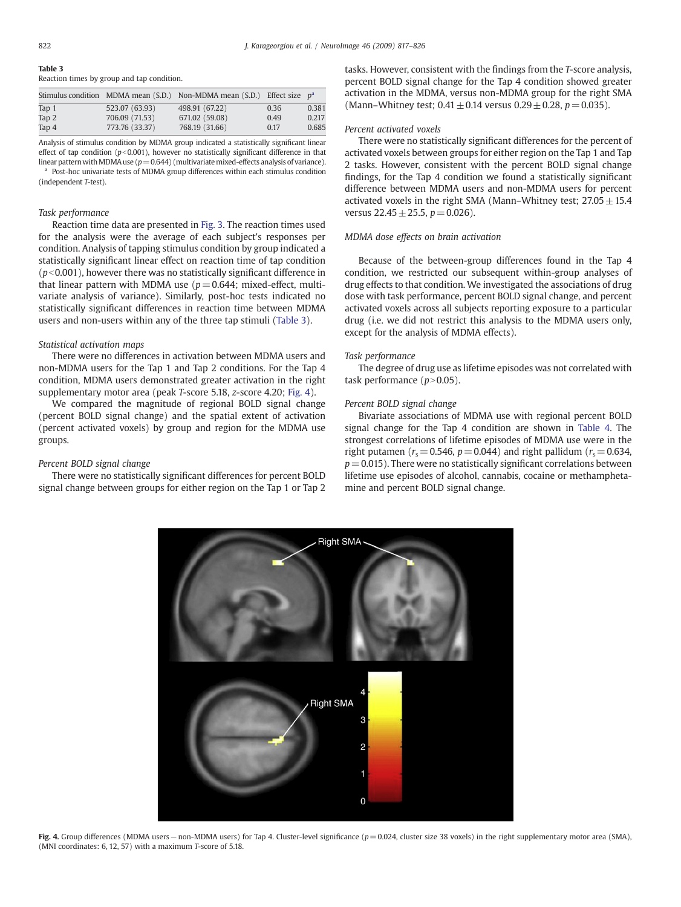|       |                | Stimulus condition MDMA mean (S.D.) Non-MDMA mean (S.D.) Effect size $p^a$ |      |       |
|-------|----------------|----------------------------------------------------------------------------|------|-------|
| Tap 1 | 523.07 (63.93) | 498.91 (67.22)                                                             | 0.36 | 0.381 |
| Tap 2 | 706.09 (71.53) | 671.02 (59.08)                                                             | 0.49 | 0.217 |
| Tap 4 | 773.76 (33.37) | 768.19 (31.66)                                                             | 0.17 | 0.685 |

Analysis of stimulus condition by MDMA group indicated a statistically significant linear effect of tap condition ( $p<0.001$ ), however no statistically significant difference in that linear pattern with MDMA use  $(p=0.644)$  (multivariate mixed-effects analysis of variance). <sup>a</sup> Post-hoc univariate tests of MDMA group differences within each stimulus condition (independent T-test).

# Task performance

Reaction time data are presented in [Fig. 3.](#page-4-0) The reaction times used for the analysis were the average of each subject's responses per condition. Analysis of tapping stimulus condition by group indicated a statistically significant linear effect on reaction time of tap condition  $(p<0.001)$ , however there was no statistically significant difference in that linear pattern with MDMA use ( $p = 0.644$ ; mixed-effect, multivariate analysis of variance). Similarly, post-hoc tests indicated no statistically significant differences in reaction time between MDMA users and non-users within any of the three tap stimuli (Table 3).

# Statistical activation maps

There were no differences in activation between MDMA users and non-MDMA users for the Tap 1 and Tap 2 conditions. For the Tap 4 condition, MDMA users demonstrated greater activation in the right supplementary motor area (peak T-score 5.18, z-score 4.20; Fig. 4).

We compared the magnitude of regional BOLD signal change (percent BOLD signal change) and the spatial extent of activation (percent activated voxels) by group and region for the MDMA use groups.

# Percent BOLD signal change

There were no statistically significant differences for percent BOLD signal change between groups for either region on the Tap 1 or Tap 2 tasks. However, consistent with the findings from the T-score analysis, percent BOLD signal change for the Tap 4 condition showed greater activation in the MDMA, versus non-MDMA group for the right SMA (Mann–Whitney test;  $0.41 \pm 0.14$  versus  $0.29 \pm 0.28$ ,  $p = 0.035$ ).

# Percent activated voxels

There were no statistically significant differences for the percent of activated voxels between groups for either region on the Tap 1 and Tap 2 tasks. However, consistent with the percent BOLD signal change findings, for the Tap 4 condition we found a statistically significant difference between MDMA users and non-MDMA users for percent activated voxels in the right SMA (Mann–Whitney test;  $27.05 \pm 15.4$ versus  $22.45 \pm 25.5$ ,  $p = 0.026$ ).

# MDMA dose effects on brain activation

Because of the between-group differences found in the Tap 4 condition, we restricted our subsequent within-group analyses of drug effects to that condition. We investigated the associations of drug dose with task performance, percent BOLD signal change, and percent activated voxels across all subjects reporting exposure to a particular drug (i.e. we did not restrict this analysis to the MDMA users only, except for the analysis of MDMA effects).

#### Task performance

The degree of drug use as lifetime episodes was not correlated with task performance  $(p>0.05)$ .

### Percent BOLD signal change

Bivariate associations of MDMA use with regional percent BOLD signal change for the Tap 4 condition are shown in [Table 4.](#page-6-0) The strongest correlations of lifetime episodes of MDMA use were in the right putamen ( $r_s$  = 0.546,  $p$  = 0.044) and right pallidum ( $r_s$  = 0.634,  $p = 0.015$ ). There were no statistically significant correlations between lifetime use episodes of alcohol, cannabis, cocaine or methamphetamine and percent BOLD signal change.



Fig. 4. Group differences (MDMA users – non-MDMA users) for Tap 4. Cluster-level significance (p=0.024, cluster size 38 voxels) in the right supplementary motor area (SMA), (MNI coordinates: 6, 12, 57) with a maximum T-score of 5.18.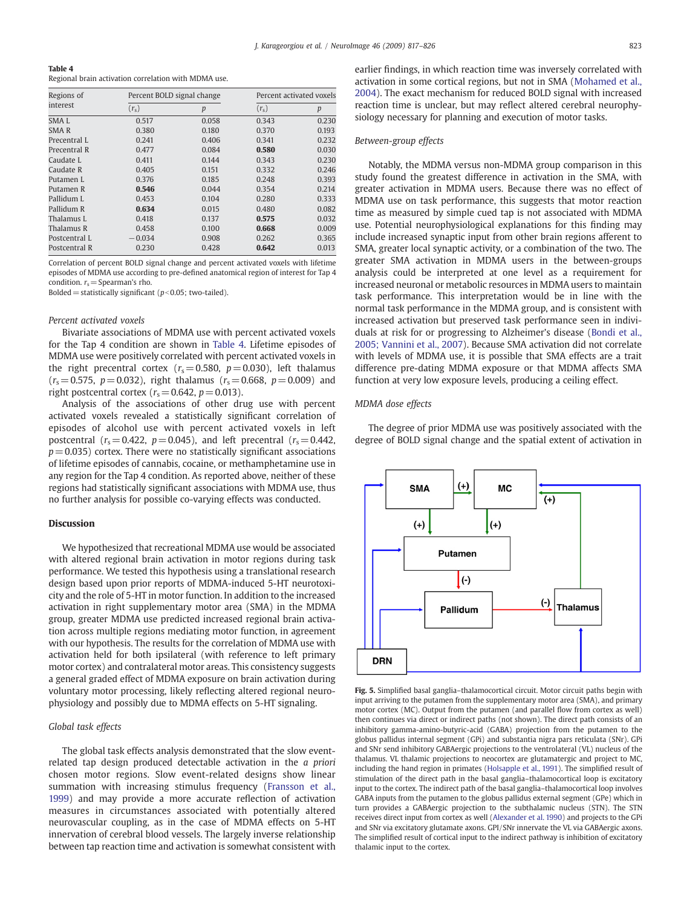<span id="page-6-0"></span>Table 4 Regional brain activation correlation with MDMA use.

| Regions of       | Percent BOLD signal change |       |                   | Percent activated voxels |  |  |
|------------------|----------------------------|-------|-------------------|--------------------------|--|--|
| interest         | (r <sub>s</sub> )          | p     | (r <sub>s</sub> ) | $\boldsymbol{p}$         |  |  |
| SMA <sub>L</sub> | 0.517                      | 0.058 | 0.343             | 0.230                    |  |  |
| SMA R            | 0.380                      | 0.180 | 0.370             | 0.193                    |  |  |
| Precentral L     | 0.241                      | 0.406 | 0.341             | 0.232                    |  |  |
| Precentral R     | 0.477                      | 0.084 | 0.580             | 0.030                    |  |  |
| Caudate L        | 0.411                      | 0.144 | 0.343             | 0.230                    |  |  |
| Caudate R        | 0.405                      | 0.151 | 0.332             | 0.246                    |  |  |
| Putamen L        | 0.376                      | 0.185 | 0.248             | 0.393                    |  |  |
| Putamen R        | 0.546                      | 0.044 | 0.354             | 0.214                    |  |  |
| Pallidum L       | 0.453                      | 0.104 | 0.280             | 0.333                    |  |  |
| Pallidum R       | 0.634                      | 0.015 | 0.480             | 0.082                    |  |  |
| Thalamus L       | 0.418                      | 0.137 | 0.575             | 0.032                    |  |  |
| Thalamus R       | 0.458                      | 0.100 | 0.668             | 0.009                    |  |  |
| Postcentral L    | $-0.034$                   | 0.908 | 0.262             | 0.365                    |  |  |
| Postcentral R    | 0.230                      | 0.428 | 0.642             | 0.013                    |  |  |

Correlation of percent BOLD signal change and percent activated voxels with lifetime episodes of MDMA use according to pre-defined anatomical region of interest for Tap 4 condition.  $r<sub>c</sub>$  = Spearman's rho.

Bolded = statistically significant ( $p<$  0.05; two-tailed).

#### Percent activated voxels

Bivariate associations of MDMA use with percent activated voxels for the Tap 4 condition are shown in Table 4. Lifetime episodes of MDMA use were positively correlated with percent activated voxels in the right precentral cortex ( $r<sub>s</sub> = 0.580$ ,  $p = 0.030$ ), left thalamus  $(r<sub>s</sub>= 0.575, p= 0.032)$ , right thalamus  $(r<sub>s</sub>= 0.668, p= 0.009)$  and right postcentral cortex ( $r_s$  = 0.642,  $p$  = 0.013).

Analysis of the associations of other drug use with percent activated voxels revealed a statistically significant correlation of episodes of alcohol use with percent activated voxels in left postcentral ( $r_s$  = 0.422,  $p$  = 0.045), and left precentral ( $r_s$  = 0.442,  $p = 0.035$ ) cortex. There were no statistically significant associations of lifetime episodes of cannabis, cocaine, or methamphetamine use in any region for the Tap 4 condition. As reported above, neither of these regions had statistically significant associations with MDMA use, thus no further analysis for possible co-varying effects was conducted.

# Discussion

We hypothesized that recreational MDMA use would be associated with altered regional brain activation in motor regions during task performance. We tested this hypothesis using a translational research design based upon prior reports of MDMA-induced 5-HT neurotoxicity and the role of 5-HT in motor function. In addition to the increased activation in right supplementary motor area (SMA) in the MDMA group, greater MDMA use predicted increased regional brain activation across multiple regions mediating motor function, in agreement with our hypothesis. The results for the correlation of MDMA use with activation held for both ipsilateral (with reference to left primary motor cortex) and contralateral motor areas. This consistency suggests a general graded effect of MDMA exposure on brain activation during voluntary motor processing, likely reflecting altered regional neurophysiology and possibly due to MDMA effects on 5-HT signaling.

# Global task effects

The global task effects analysis demonstrated that the slow eventrelated tap design produced detectable activation in the a priori chosen motor regions. Slow event-related designs show linear summation with increasing stimulus frequency [\(Fransson et al.,](#page-8-0) [1999](#page-8-0)) and may provide a more accurate reflection of activation measures in circumstances associated with potentially altered neurovascular coupling, as in the case of MDMA effects on 5-HT innervation of cerebral blood vessels. The largely inverse relationship between tap reaction time and activation is somewhat consistent with earlier findings, in which reaction time was inversely correlated with activation in some cortical regions, but not in SMA ([Mohamed et al.,](#page-9-0) [2004](#page-9-0)). The exact mechanism for reduced BOLD signal with increased reaction time is unclear, but may reflect altered cerebral neurophysiology necessary for planning and execution of motor tasks.

# Between-group effects

Notably, the MDMA versus non-MDMA group comparison in this study found the greatest difference in activation in the SMA, with greater activation in MDMA users. Because there was no effect of MDMA use on task performance, this suggests that motor reaction time as measured by simple cued tap is not associated with MDMA use. Potential neurophysiological explanations for this finding may include increased synaptic input from other brain regions afferent to SMA, greater local synaptic activity, or a combination of the two. The greater SMA activation in MDMA users in the between-groups analysis could be interpreted at one level as a requirement for increased neuronal or metabolic resources in MDMA users to maintain task performance. This interpretation would be in line with the normal task performance in the MDMA group, and is consistent with increased activation but preserved task performance seen in individuals at risk for or progressing to Alzheimer's disease [\(Bondi et al.,](#page-8-0) [2005; Vannini et al., 2007\)](#page-8-0). Because SMA activation did not correlate with levels of MDMA use, it is possible that SMA effects are a trait difference pre-dating MDMA exposure or that MDMA affects SMA function at very low exposure levels, producing a ceiling effect.

# MDMA dose effects

The degree of prior MDMA use was positively associated with the degree of BOLD signal change and the spatial extent of activation in



Fig. 5. Simplified basal ganglia–thalamocortical circuit. Motor circuit paths begin with input arriving to the putamen from the supplementary motor area (SMA), and primary motor cortex (MC). Output from the putamen (and parallel flow from cortex as well) then continues via direct or indirect paths (not shown). The direct path consists of an inhibitory gamma-amino-butyric-acid (GABA) projection from the putamen to the globus pallidus internal segment (GPi) and substantia nigra pars reticulata (SNr). GPi and SNr send inhibitory GABAergic projections to the ventrolateral (VL) nucleus of the thalamus. VL thalamic projections to neocortex are glutamatergic and project to MC, including the hand region in primates [\(Holsapple et al., 1991](#page-8-0)). The simplified result of stimulation of the direct path in the basal ganglia–thalamocortical loop is excitatory input to the cortex. The indirect path of the basal ganglia–thalamocortical loop involves GABA inputs from the putamen to the globus pallidus external segment (GPe) which in turn provides a GABAergic projection to the subthalamic nucleus (STN). The STN receives direct input from cortex as well [\(Alexander et al. 1990\)](#page-8-0) and projects to the GPi and SNr via excitatory glutamate axons. GPI/SNr innervate the VL via GABAergic axons. The simplified result of cortical input to the indirect pathway is inhibition of excitatory thalamic input to the cortex.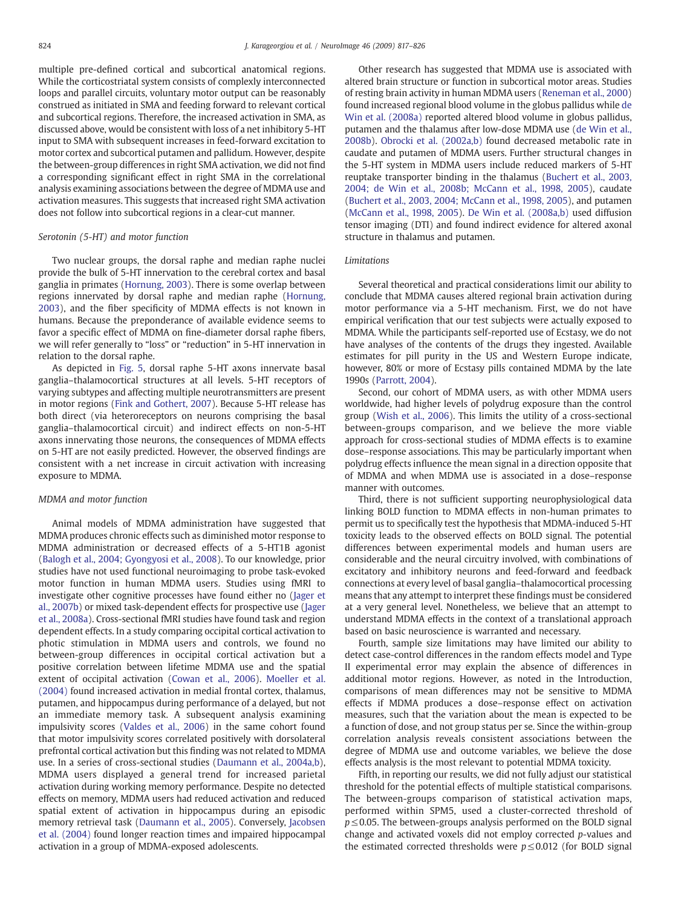multiple pre-defined cortical and subcortical anatomical regions. While the corticostriatal system consists of complexly interconnected loops and parallel circuits, voluntary motor output can be reasonably construed as initiated in SMA and feeding forward to relevant cortical and subcortical regions. Therefore, the increased activation in SMA, as discussed above, would be consistent with loss of a net inhibitory 5-HT input to SMA with subsequent increases in feed-forward excitation to motor cortex and subcortical putamen and pallidum. However, despite the between-group differences in right SMA activation, we did not find a corresponding significant effect in right SMA in the correlational analysis examining associations between the degree of MDMA use and activation measures. This suggests that increased right SMA activation does not follow into subcortical regions in a clear-cut manner.

# Serotonin (5-HT) and motor function

Two nuclear groups, the dorsal raphe and median raphe nuclei provide the bulk of 5-HT innervation to the cerebral cortex and basal ganglia in primates [\(Hornung, 2003](#page-8-0)). There is some overlap between regions innervated by dorsal raphe and median raphe ([Hornung,](#page-8-0) [2003](#page-8-0)), and the fiber specificity of MDMA effects is not known in humans. Because the preponderance of available evidence seems to favor a specific effect of MDMA on fine-diameter dorsal raphe fibers, we will refer generally to "loss" or "reduction" in 5-HT innervation in relation to the dorsal raphe.

As depicted in [Fig. 5](#page-6-0), dorsal raphe 5-HT axons innervate basal ganglia–thalamocortical structures at all levels. 5-HT receptors of varying subtypes and affecting multiple neurotransmitters are present in motor regions ([Fink and Gothert, 2007](#page-8-0)). Because 5-HT release has both direct (via heteroreceptors on neurons comprising the basal ganglia–thalamocortical circuit) and indirect effects on non-5-HT axons innervating those neurons, the consequences of MDMA effects on 5-HT are not easily predicted. However, the observed findings are consistent with a net increase in circuit activation with increasing exposure to MDMA.

# MDMA and motor function

Animal models of MDMA administration have suggested that MDMA produces chronic effects such as diminished motor response to MDMA administration or decreased effects of a 5-HT1B agonist [\(Balogh et al., 2004; Gyongyosi et al., 2008\)](#page-8-0). To our knowledge, prior studies have not used functional neuroimaging to probe task-evoked motor function in human MDMA users. Studies using fMRI to investigate other cognitive processes have found either no ([Jager et](#page-9-0) [al., 2007b\)](#page-9-0) or mixed task-dependent effects for prospective use ([Jager](#page-9-0) [et al., 2008a](#page-9-0)). Cross-sectional fMRI studies have found task and region dependent effects. In a study comparing occipital cortical activation to photic stimulation in MDMA users and controls, we found no between-group differences in occipital cortical activation but a positive correlation between lifetime MDMA use and the spatial extent of occipital activation ([Cowan et al., 2006\)](#page-8-0). [Moeller et al.](#page-9-0) [\(2004\)](#page-9-0) found increased activation in medial frontal cortex, thalamus, putamen, and hippocampus during performance of a delayed, but not an immediate memory task. A subsequent analysis examining impulsivity scores [\(Valdes et al., 2006](#page-9-0)) in the same cohort found that motor impulsivity scores correlated positively with dorsolateral prefrontal cortical activation but this finding was not related to MDMA use. In a series of cross-sectional studies ([Daumann et al., 2004a,b](#page-8-0)), MDMA users displayed a general trend for increased parietal activation during working memory performance. Despite no detected effects on memory, MDMA users had reduced activation and reduced spatial extent of activation in hippocampus during an episodic memory retrieval task ([Daumann et al., 2005](#page-8-0)). Conversely, [Jacobsen](#page-8-0) [et al. \(2004\)](#page-8-0) found longer reaction times and impaired hippocampal activation in a group of MDMA-exposed adolescents.

Other research has suggested that MDMA use is associated with altered brain structure or function in subcortical motor areas. Studies of resting brain activity in human MDMA users [\(Reneman et al., 2000](#page-9-0)) found increased regional blood volume in the globus pallidus while [de](#page-8-0) [Win et al. \(2008a\)](#page-8-0) reported altered blood volume in globus pallidus, putamen and the thalamus after low-dose MDMA use [\(de Win et al.,](#page-8-0) [2008b\)](#page-8-0). [Obrocki et al. \(2002a,b\)](#page-9-0) found decreased metabolic rate in caudate and putamen of MDMA users. Further structural changes in the 5-HT system in MDMA users include reduced markers of 5-HT reuptake transporter binding in the thalamus ([Buchert et al., 2003,](#page-8-0) [2004; de Win et al., 2008b; McCann et al., 1998, 2005](#page-8-0)), caudate [\(Buchert et al., 2003, 2004; McCann et al., 1998, 2005\)](#page-8-0), and putamen [\(McCann et al., 1998, 2005](#page-9-0)). [De Win et al. \(2008a,b\)](#page-8-0) used diffusion tensor imaging (DTI) and found indirect evidence for altered axonal structure in thalamus and putamen.

#### Limitations

Several theoretical and practical considerations limit our ability to conclude that MDMA causes altered regional brain activation during motor performance via a 5-HT mechanism. First, we do not have empirical verification that our test subjects were actually exposed to MDMA. While the participants self-reported use of Ecstasy, we do not have analyses of the contents of the drugs they ingested. Available estimates for pill purity in the US and Western Europe indicate, however, 80% or more of Ecstasy pills contained MDMA by the late 1990s ([Parrott, 2004\)](#page-9-0).

Second, our cohort of MDMA users, as with other MDMA users worldwide, had higher levels of polydrug exposure than the control group ([Wish et al., 2006\)](#page-9-0). This limits the utility of a cross-sectional between-groups comparison, and we believe the more viable approach for cross-sectional studies of MDMA effects is to examine dose–response associations. This may be particularly important when polydrug effects influence the mean signal in a direction opposite that of MDMA and when MDMA use is associated in a dose–response manner with outcomes.

Third, there is not sufficient supporting neurophysiological data linking BOLD function to MDMA effects in non-human primates to permit us to specifically test the hypothesis that MDMA-induced 5-HT toxicity leads to the observed effects on BOLD signal. The potential differences between experimental models and human users are considerable and the neural circuitry involved, with combinations of excitatory and inhibitory neurons and feed-forward and feedback connections at every level of basal ganglia–thalamocortical processing means that any attempt to interpret these findings must be considered at a very general level. Nonetheless, we believe that an attempt to understand MDMA effects in the context of a translational approach based on basic neuroscience is warranted and necessary.

Fourth, sample size limitations may have limited our ability to detect case-control differences in the random effects model and Type II experimental error may explain the absence of differences in additional motor regions. However, as noted in the Introduction, comparisons of mean differences may not be sensitive to MDMA effects if MDMA produces a dose–response effect on activation measures, such that the variation about the mean is expected to be a function of dose, and not group status per se. Since the within-group correlation analysis reveals consistent associations between the degree of MDMA use and outcome variables, we believe the dose effects analysis is the most relevant to potential MDMA toxicity.

Fifth, in reporting our results, we did not fully adjust our statistical threshold for the potential effects of multiple statistical comparisons. The between-groups comparison of statistical activation maps, performed within SPM5, used a cluster-corrected threshold of p ≤0.05. The between-groups analysis performed on the BOLD signal change and activated voxels did not employ corrected p-values and the estimated corrected thresholds were  $p \le 0.012$  (for BOLD signal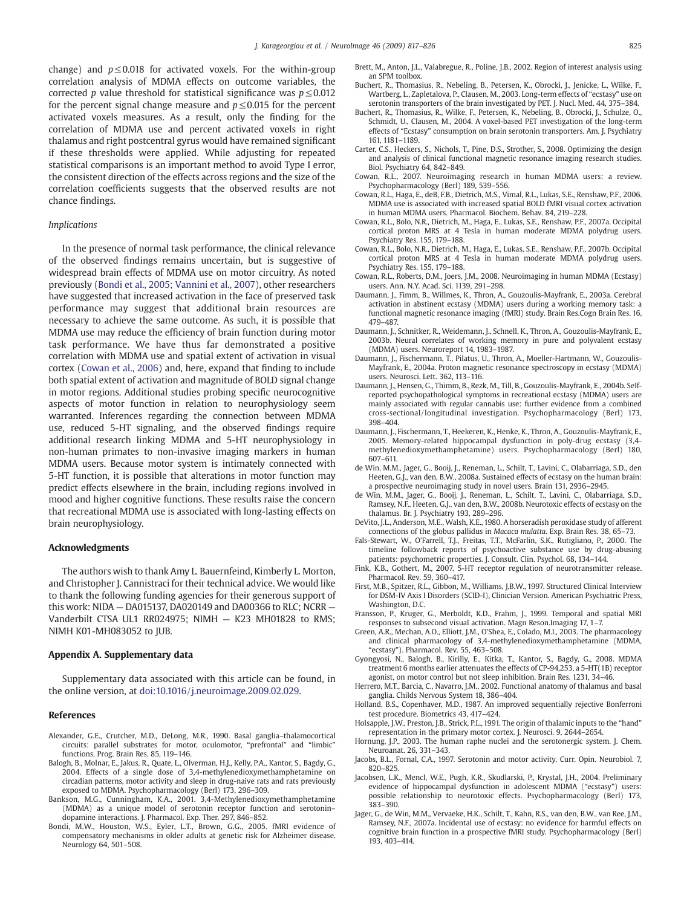<span id="page-8-0"></span>change) and  $p \le 0.018$  for activated voxels. For the within-group correlation analysis of MDMA effects on outcome variables, the corrected p value threshold for statistical significance was  $p \leq 0.012$ for the percent signal change measure and  $p \leq 0.015$  for the percent activated voxels measures. As a result, only the finding for the correlation of MDMA use and percent activated voxels in right thalamus and right postcentral gyrus would have remained significant if these thresholds were applied. While adjusting for repeated statistical comparisons is an important method to avoid Type I error, the consistent direction of the effects across regions and the size of the correlation coefficients suggests that the observed results are not chance findings.

# Implications

In the presence of normal task performance, the clinical relevance of the observed findings remains uncertain, but is suggestive of widespread brain effects of MDMA use on motor circuitry. As noted previously (Bondi et al., 2005; Vannini et al., 2007), other researchers have suggested that increased activation in the face of preserved task performance may suggest that additional brain resources are necessary to achieve the same outcome. As such, it is possible that MDMA use may reduce the efficiency of brain function during motor task performance. We have thus far demonstrated a positive correlation with MDMA use and spatial extent of activation in visual cortex (Cowan et al., 2006) and, here, expand that finding to include both spatial extent of activation and magnitude of BOLD signal change in motor regions. Additional studies probing specific neurocognitive aspects of motor function in relation to neurophysiology seem warranted. Inferences regarding the connection between MDMA use, reduced 5-HT signaling, and the observed findings require additional research linking MDMA and 5-HT neurophysiology in non-human primates to non-invasive imaging markers in human MDMA users. Because motor system is intimately connected with 5-HT function, it is possible that alterations in motor function may predict effects elsewhere in the brain, including regions involved in mood and higher cognitive functions. These results raise the concern that recreational MDMA use is associated with long-lasting effects on brain neurophysiology.

### Acknowledgments

The authors wish to thank Amy L. Bauernfeind, Kimberly L. Morton, and Christopher J. Cannistraci for their technical advice. We would like to thank the following funding agencies for their generous support of this work: NIDA — DA015137, DA020149 and DA00366 to RLC; NCRR — Vanderbilt CTSA UL1 RR024975; NIMH — K23 MH01828 to RMS; NIMH K01-MH083052 to JUB.

# Appendix A. Supplementary data

Supplementary data associated with this article can be found, in the online version, at [doi:10.1016/j.neuroimage.2009.02.029.](http://dx.doi.org/doi:10.1016/j.neuroimage.2009.02.029)

#### References

- Alexander, G.E., Crutcher, M.D., DeLong, M.R., 1990. Basal ganglia–thalamocortical circuits: parallel substrates for motor, oculomotor, "prefrontal" and "limbic" functions. Prog. Brain Res. 85, 119–146.
- Balogh, B., Molnar, E., Jakus, R., Quate, L., Olverman, H.J., Kelly, P.A., Kantor, S., Bagdy, G., 2004. Effects of a single dose of 3,4-methylenedioxymethamphetamine on circadian patterns, motor activity and sleep in drug-naive rats and rats previously exposed to MDMA. Psychopharmacology (Berl) 173, 296–309.
- Bankson, M.G., Cunningham, K.A., 2001. 3,4-Methylenedioxymethamphetamine (MDMA) as a unique model of serotonin receptor function and serotonin– dopamine interactions. J. Pharmacol. Exp. Ther. 297, 846–852.
- Bondi, M.W., Houston, W.S., Eyler, L.T., Brown, G.G., 2005. fMRI evidence of compensatory mechanisms in older adults at genetic risk for Alzheimer disease. Neurology 64, 501–508.
- Brett, M., Anton, J.L., Valabregue, R., Poline, J.B., 2002. Region of interest analysis using an SPM toolbox.
- Buchert, R., Thomasius, R., Nebeling, B., Petersen, K., Obrocki, J., Jenicke, L., Wilke, F., Wartberg, L., Zapletalova, P., Clausen, M., 2003. Long-term effects of "ecstasy" use on serotonin transporters of the brain investigated by PET. J. Nucl. Med. 44, 375–384.
- Buchert, R., Thomasius, R., Wilke, F., Petersen, K., Nebeling, B., Obrocki, J., Schulze, O., Schmidt, U., Clausen, M., 2004. A voxel-based PET investigation of the long-term effects of "Ecstasy" consumption on brain serotonin transporters. Am. J. Psychiatry 161, 1181–1189.
- Carter, C.S., Heckers, S., Nichols, T., Pine, D.S., Strother, S., 2008. Optimizing the design and analysis of clinical functional magnetic resonance imaging research studies. Biol. Psychiatry 64, 842–849.
- Cowan, R.L., 2007. Neuroimaging research in human MDMA users: a review. Psychopharmacology (Berl) 189, 539–556.
- Cowan, R.L., Haga, E., deB, F.B., Dietrich, M.S., Vimal, R.L., Lukas, S.E., Renshaw, P.F., 2006. MDMA use is associated with increased spatial BOLD fMRI visual cortex activation in human MDMA users. Pharmacol. Biochem. Behav. 84, 219–228.
- Cowan, R.L., Bolo, N.R., Dietrich, M., Haga, E., Lukas, S.E., Renshaw, P.F., 2007a. Occipital cortical proton MRS at 4 Tesla in human moderate MDMA polydrug users. Psychiatry Res. 155, 179–188.
- Cowan, R.L., Bolo, N.R., Dietrich, M., Haga, E., Lukas, S.E., Renshaw, P.F., 2007b. Occipital cortical proton MRS at 4 Tesla in human moderate MDMA polydrug users. Psychiatry Res. 155, 179–188.
- Cowan, R.L., Roberts, D.M., Joers, J.M., 2008. Neuroimaging in human MDMA (Ecstasy) users. Ann. N.Y. Acad. Sci. 1139, 291–298.
- Daumann, J., Fimm, B., Willmes, K., Thron, A., Gouzoulis-Mayfrank, E., 2003a. Cerebral activation in abstinent ecstasy (MDMA) users during a working memory task: a functional magnetic resonance imaging (fMRI) study. Brain Res.Cogn Brain Res. 16, 479–487.
- Daumann, J., Schnitker, R., Weidemann, J., Schnell, K., Thron, A., Gouzoulis-Mayfrank, E., 2003b. Neural correlates of working memory in pure and polyvalent ecstasy (MDMA) users. Neuroreport 14, 1983–1987.
- Daumann, J., Fischermann, T., Pilatus, U., Thron, A., Moeller-Hartmann, W., Gouzoulis-Mayfrank, E., 2004a. Proton magnetic resonance spectroscopy in ecstasy (MDMA) users. Neurosci. Lett. 362, 113–116.
- Daumann, J., Hensen, G., Thimm, B., Rezk, M., Till, B., Gouzoulis-Mayfrank, E., 2004b. Selfreported psychopathological symptoms in recreational ecstasy (MDMA) users are mainly associated with regular cannabis use: further evidence from a combined cross-sectional/longitudinal investigation. Psychopharmacology (Berl) 173, 398–404.
- Daumann, J., Fischermann, T., Heekeren, K., Henke, K., Thron, A., Gouzoulis-Mayfrank, E., 2005. Memory-related hippocampal dysfunction in poly-drug ecstasy (3,4 methylenedioxymethamphetamine) users. Psychopharmacology (Berl) 180, 607–611.
- de Win, M.M., Jager, G., Booij, J., Reneman, L., Schilt, T., Lavini, C., Olabarriaga, S.D., den Heeten, G.J., van den, B.W., 2008a. Sustained effects of ecstasy on the human brain: a prospective neuroimaging study in novel users. Brain 131, 2936–2945.
- de Win, M.M., Jager, G., Booij, J., Reneman, L., Schilt, T., Lavini, C., Olabarriaga, S.D., Ramsey, N.F., Heeten, G.J., van den, B.W., 2008b. Neurotoxic effects of ecstasy on the thalamus. Br. J. Psychiatry 193, 289–296.
- DeVito, J.L., Anderson, M.E., Walsh, K.E., 1980. A horseradish peroxidase study of afferent connections of the globus pallidus in Macaca mulatta. Exp. Brain Res. 38, 65–73.
- Fals-Stewart, W., O'Farrell, T.J., Freitas, T.T., McFarlin, S.K., Rutigliano, P., 2000. The timeline followback reports of psychoactive substance use by drug-abusing patients: psychometric properties. J. Consult. Clin. Psychol. 68, 134–144.
- Fink, K.B., Gothert, M., 2007. 5-HT receptor regulation of neurotransmitter release. Pharmacol. Rev. 59, 360–417.
- First, M.B., Spitzer, R.L., Gibbon, M., Williams, J.B.W., 1997. Structured Clinical Interview for DSM-IV Axis I Disorders (SCID-I), Clinician Version. American Psychiatric Press, Washington, D.C.
- Fransson, P., Kruger, G., Merboldt, K.D., Frahm, J., 1999. Temporal and spatial MRI responses to subsecond visual activation. Magn Reson.Imaging 17, 1–7.
- Green, A.R., Mechan, A.O., Elliott, J.M., O'Shea, E., Colado, M.I., 2003. The pharmacology and clinical pharmacology of 3,4-methylenedioxymethamphetamine (MDMA, "ecstasy"). Pharmacol. Rev. 55, 463–508.
- Gyongyosi, N., Balogh, B., Kirilly, E., Kitka, T., Kantor, S., Bagdy, G., 2008. MDMA treatment 6 months earlier attenuates the effects of CP-94,253, a 5-HT(1B) receptor agonist, on motor control but not sleep inhibition. Brain Res. 1231, 34–46.
- Herrero, M.T., Barcia, C., Navarro, J.M., 2002. Functional anatomy of thalamus and basal ganglia. Childs Nervous System 18, 386–404.
- Holland, B.S., Copenhaver, M.D., 1987. An improved sequentially rejective Bonferroni test procedure. Biometrics 43, 417–424.
- Holsapple, J.W., Preston, J.B., Strick, P.L., 1991. The origin of thalamic inputs to the "hand" representation in the primary motor cortex. J. Neurosci. 9, 2644–2654.
- Hornung, J.P., 2003. The human raphe nuclei and the serotonergic system. J. Chem. Neuroanat. 26, 331–343.
- Jacobs, B.L., Fornal, C.A., 1997. Serotonin and motor activity. Curr. Opin. Neurobiol. 7, 820–825.
- Jacobsen, L.K., Mencl, W.E., Pugh, K.R., Skudlarski, P., Krystal, J.H., 2004. Preliminary evidence of hippocampal dysfunction in adolescent MDMA ("ecstasy") users: possible relationship to neurotoxic effects. Psychopharmacology (Berl) 173, 383–390.
- Jager, G., de Win, M.M., Vervaeke, H.K., Schilt, T., Kahn, R.S., van den, B.W., van Ree, J.M., Ramsey, N.F., 2007a. Incidental use of ecstasy: no evidence for harmful effects on cognitive brain function in a prospective fMRI study. Psychopharmacology (Berl) 193, 403–414.